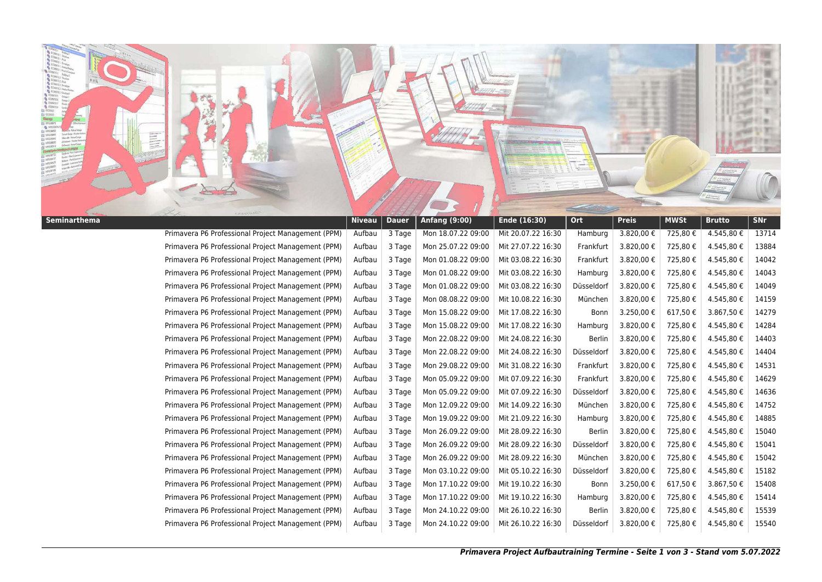

| Seminarthema |                                                    | <b>Niveau</b> | <b>Dauer</b> | Anfang (9:00)      | Ende (16:30)       | <b>Ort</b>    | <b>Preis</b> | <b>MWSt</b> | <b>Brutto</b> | <b>SNr</b> |
|--------------|----------------------------------------------------|---------------|--------------|--------------------|--------------------|---------------|--------------|-------------|---------------|------------|
|              | Primavera P6 Professional Project Management (PPM) | Aufbau        | 3 Tage       | Mon 18.07.22 09:00 | Mit 20.07.22 16:30 | Hamburg       | 3.820,00€    | 725,80€     | 4.545,80€     | 13714      |
|              | Primavera P6 Professional Project Management (PPM) | Aufbau        | 3 Tage       | Mon 25.07.22 09:00 | Mit 27.07.22 16:30 | Frankfurt     | 3.820,00 €   | 725,80€     | 4.545,80€     | 13884      |
|              | Primavera P6 Professional Project Management (PPM) | Aufbau        | 3 Tage       | Mon 01.08.22 09:00 | Mit 03.08.22 16:30 | Frankfurt     | 3.820,00€    | 725,80€     | 4.545,80 €    | 14042      |
|              | Primavera P6 Professional Project Management (PPM) | Aufbau        | 3 Tage       | Mon 01.08.22 09:00 | Mit 03.08.22 16:30 | Hamburg       | 3.820,00€    | 725,80€     | 4.545,80€     | 14043      |
|              | Primavera P6 Professional Project Management (PPM) | Aufbau        | 3 Tage       | Mon 01.08.22 09:00 | Mit 03.08.22 16:30 | Düsseldorf    | 3.820,00 €   | 725,80€     | 4.545,80€     | 14049      |
|              | Primavera P6 Professional Project Management (PPM) | Aufbau        | 3 Tage       | Mon 08.08.22 09:00 | Mit 10.08.22 16:30 | München       | 3.820,00 €   | 725,80€     | 4.545,80€     | 14159      |
|              | Primavera P6 Professional Project Management (PPM) | Aufbau        | 3 Tage       | Mon 15.08.22 09:00 | Mit 17.08.22 16:30 | Bonn          | 3.250,00€    | 617,50€     | 3.867,50€     | 14279      |
|              | Primavera P6 Professional Project Management (PPM) | Aufbau        | 3 Tage       | Mon 15.08.22 09:00 | Mit 17.08.22 16:30 | Hamburg       | 3.820,00 €   | 725,80€     | 4.545,80 €    | 14284      |
|              | Primavera P6 Professional Project Management (PPM) | Aufbau        | 3 Tage       | Mon 22.08.22 09:00 | Mit 24.08.22 16:30 | Berlin        | 3.820,00€    | 725,80€     | 4.545,80€     | 14403      |
|              | Primavera P6 Professional Project Management (PPM) | Aufbau        | 3 Tage       | Mon 22.08.22 09:00 | Mit 24.08.22 16:30 | Düsseldorf    | 3.820,00 €   | 725,80€     | 4.545,80€     | 14404      |
|              | Primavera P6 Professional Project Management (PPM) | Aufbau        | 3 Tage       | Mon 29.08.22 09:00 | Mit 31.08.22 16:30 | Frankfurt     | 3.820,00€    | 725,80€     | 4.545,80 €    | 14531      |
|              | Primavera P6 Professional Project Management (PPM) | Aufbau        | 3 Tage       | Mon 05.09.22 09:00 | Mit 07.09.22 16:30 | Frankfurt     | 3.820,00 €   | 725,80€     | 4.545,80€     | 14629      |
|              | Primavera P6 Professional Project Management (PPM) | Aufbau        | 3 Tage       | Mon 05.09.22 09:00 | Mit 07.09.22 16:30 | Düsseldorf    | 3.820,00€    | 725,80€     | 4.545,80€     | 14636      |
|              | Primavera P6 Professional Project Management (PPM) | Aufbau        | 3 Tage       | Mon 12.09.22 09:00 | Mit 14.09.22 16:30 | München       | 3.820,00€    | 725,80€     | 4.545,80€     | 14752      |
|              | Primavera P6 Professional Project Management (PPM) | Aufbau        | 3 Tage       | Mon 19.09.22 09:00 | Mit 21.09.22 16:30 | Hamburg       | 3.820,00 €   | 725,80€     | 4.545,80€     | 14885      |
|              | Primavera P6 Professional Project Management (PPM) | Aufbau        | 3 Tage       | Mon 26.09.22 09:00 | Mit 28.09.22 16:30 | <b>Berlin</b> | 3.820,00€    | 725,80€     | 4.545,80 €    | 15040      |
|              | Primavera P6 Professional Project Management (PPM) | Aufbau        | 3 Tage       | Mon 26.09.22 09:00 | Mit 28.09.22 16:30 | Düsseldorf    | 3.820,00€    | 725,80€     | 4.545,80€     | 15041      |
|              | Primavera P6 Professional Project Management (PPM) | Aufbau        | 3 Tage       | Mon 26.09.22 09:00 | Mit 28.09.22 16:30 | München       | 3.820,00 €   | 725,80€     | 4.545,80€     | 15042      |
|              | Primavera P6 Professional Project Management (PPM) | Aufbau        | 3 Tage       | Mon 03.10.22 09:00 | Mit 05.10.22 16:30 | Düsseldorf    | 3.820,00€    | 725,80€     | 4.545,80€     | 15182      |
|              | Primavera P6 Professional Project Management (PPM) | Aufbau        | 3 Tage       | Mon 17.10.22 09:00 | Mit 19.10.22 16:30 | Bonn          | 3.250,00€    | 617,50€     | 3.867,50€     | 15408      |
|              | Primavera P6 Professional Project Management (PPM) | Aufbau        | 3 Tage       | Mon 17.10.22 09:00 | Mit 19.10.22 16:30 | Hamburg       | 3.820,00 €   | 725,80€     | 4.545,80 €    | 15414      |
|              | Primavera P6 Professional Project Management (PPM) | Aufbau        | 3 Tage       | Mon 24.10.22 09:00 | Mit 26.10.22 16:30 | Berlin        | 3.820,00€    | 725,80€     | 4.545,80 €    | 15539      |
|              | Primavera P6 Professional Project Management (PPM) | Aufbau        | 3 Tage       | Mon 24.10.22 09:00 | Mit 26.10.22 16:30 | Düsseldorf    | 3.820,00 €   | 725,80€     | 4.545,80€     | 15540      |
|              |                                                    |               |              |                    |                    |               |              |             |               |            |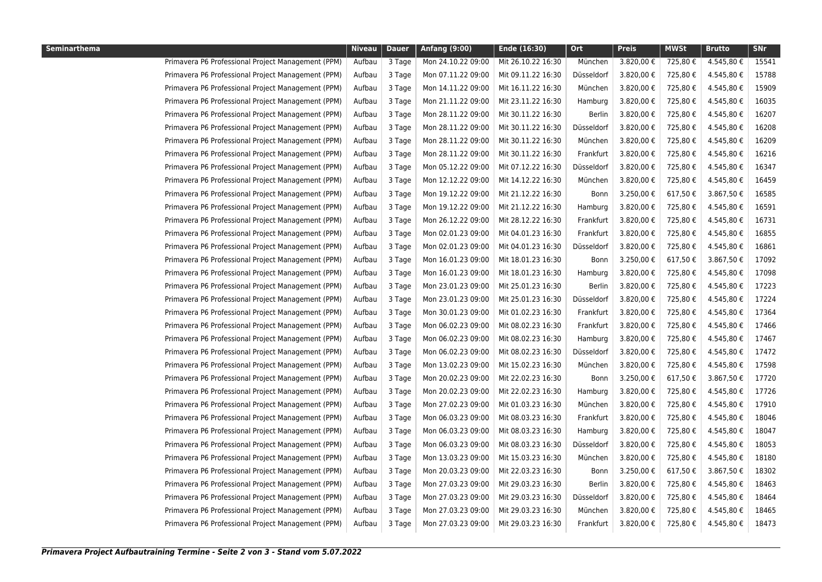| <b>Seminarthema</b> |                                                    | <b>Niveau</b> | <b>Dauer</b> | <b>Anfang (9:00)</b> | Ende (16:30)       | Ort           | <b>Preis</b> | <b>MWSt</b> | <b>Brutto</b> | <b>SNr</b> |
|---------------------|----------------------------------------------------|---------------|--------------|----------------------|--------------------|---------------|--------------|-------------|---------------|------------|
|                     | Primavera P6 Professional Project Management (PPM) | Aufbau        | 3 Tage       | Mon 24.10.22 09:00   | Mit 26.10.22 16:30 | München       | 3.820,00 €   | 725,80€     | 4.545,80 €    | 15541      |
|                     | Primavera P6 Professional Project Management (PPM) | Aufbau        | 3 Tage       | Mon 07.11.22 09:00   | Mit 09.11.22 16:30 | Düsseldorf    | 3.820,00 €   | 725,80€     | 4.545,80 €    | 15788      |
|                     | Primavera P6 Professional Project Management (PPM) | Aufbau        | 3 Tage       | Mon 14.11.22 09:00   | Mit 16.11.22 16:30 | München       | 3.820,00 €   | 725,80€     | 4.545,80 €    | 15909      |
|                     | Primavera P6 Professional Project Management (PPM) | Aufbau        | 3 Tage       | Mon 21.11.22 09:00   | Mit 23.11.22 16:30 | Hamburg       | 3.820,00 €   | 725,80 €    | 4.545,80€     | 16035      |
|                     | Primavera P6 Professional Project Management (PPM) | Aufbau        | 3 Tage       | Mon 28.11.22 09:00   | Mit 30.11.22 16:30 | Berlin        | 3.820,00 €   | 725,80€     | 4.545,80 €    | 16207      |
|                     | Primavera P6 Professional Project Management (PPM) | Aufbau        | 3 Tage       | Mon 28.11.22 09:00   | Mit 30.11.22 16:30 | Düsseldorf    | 3.820,00€    | 725,80€     | 4.545,80€     | 16208      |
|                     | Primavera P6 Professional Project Management (PPM) | Aufbau        | 3 Tage       | Mon 28.11.22 09:00   | Mit 30.11.22 16:30 | München       | 3.820,00€    | 725,80 €    | 4.545,80 €    | 16209      |
|                     | Primavera P6 Professional Project Management (PPM) | Aufbau        | 3 Tage       | Mon 28.11.22 09:00   | Mit 30.11.22 16:30 | Frankfurt     | 3.820,00€    | 725,80€     | 4.545,80 €    | 16216      |
|                     | Primavera P6 Professional Project Management (PPM) | Aufbau        | 3 Tage       | Mon 05.12.22 09:00   | Mit 07.12.22 16:30 | Düsseldorf    | 3.820,00€    | 725,80 €    | 4.545,80€     | 16347      |
|                     | Primavera P6 Professional Project Management (PPM) | Aufbau        | 3 Tage       | Mon 12.12.22 09:00   | Mit 14.12.22 16:30 | München       | 3.820,00€    | 725,80€     | 4.545,80 €    | 16459      |
|                     | Primavera P6 Professional Project Management (PPM) | Aufbau        | 3 Tage       | Mon 19.12.22 09:00   | Mit 21.12.22 16:30 | Bonn          | 3.250,00€    | 617,50€     | 3.867,50€     | 16585      |
|                     | Primavera P6 Professional Project Management (PPM) | Aufbau        | 3 Tage       | Mon 19.12.22 09:00   | Mit 21.12.22 16:30 | Hamburg       | 3.820,00 €   | 725,80€     | 4.545,80 €    | 16591      |
|                     | Primavera P6 Professional Project Management (PPM) | Aufbau        | 3 Tage       | Mon 26.12.22 09:00   | Mit 28.12.22 16:30 | Frankfurt     | 3.820,00 €   | 725,80€     | 4.545,80 €    | 16731      |
|                     | Primavera P6 Professional Project Management (PPM) | Aufbau        | 3 Tage       | Mon 02.01.23 09:00   | Mit 04.01.23 16:30 | Frankfurt     | 3.820,00 €   | 725,80€     | 4.545,80 €    | 16855      |
|                     | Primavera P6 Professional Project Management (PPM) | Aufbau        | 3 Tage       | Mon 02.01.23 09:00   | Mit 04.01.23 16:30 | Düsseldorf    | 3.820,00 €   | 725,80€     | 4.545,80 €    | 16861      |
|                     | Primavera P6 Professional Project Management (PPM) | Aufbau        | 3 Tage       | Mon 16.01.23 09:00   | Mit 18.01.23 16:30 | Bonn          | 3.250,00 €   | 617,50€     | 3.867,50 €    | 17092      |
|                     | Primavera P6 Professional Project Management (PPM) | Aufbau        | 3 Tage       | Mon 16.01.23 09:00   | Mit 18.01.23 16:30 | Hamburg       | 3.820,00 €   | 725,80€     | 4.545,80 €    | 17098      |
|                     | Primavera P6 Professional Project Management (PPM) | Aufbau        | 3 Tage       | Mon 23.01.23 09:00   | Mit 25.01.23 16:30 | Berlin        | 3.820,00€    | 725,80€     | 4.545,80 €    | 17223      |
|                     | Primavera P6 Professional Project Management (PPM) | Aufbau        | 3 Tage       | Mon 23.01.23 09:00   | Mit 25.01.23 16:30 | Düsseldorf    | 3.820,00€    | 725,80€     | 4.545,80 €    | 17224      |
|                     | Primavera P6 Professional Project Management (PPM) | Aufbau        | 3 Tage       | Mon 30.01.23 09:00   | Mit 01.02.23 16:30 | Frankfurt     | 3.820,00€    | 725,80€     | 4.545,80 €    | 17364      |
|                     | Primavera P6 Professional Project Management (PPM) | Aufbau        | 3 Tage       | Mon 06.02.23 09:00   | Mit 08.02.23 16:30 | Frankfurt     | 3.820,00€    | 725,80€     | 4.545,80€     | 17466      |
|                     | Primavera P6 Professional Project Management (PPM) | Aufbau        | 3 Tage       | Mon 06.02.23 09:00   | Mit 08.02.23 16:30 | Hamburg       | 3.820,00€    | 725,80€     | 4.545,80 €    | 17467      |
|                     | Primavera P6 Professional Project Management (PPM) | Aufbau        | 3 Tage       | Mon 06.02.23 09:00   | Mit 08.02.23 16:30 | Düsseldorf    | 3.820,00€    | 725,80€     | 4.545,80 €    | 17472      |
|                     | Primavera P6 Professional Project Management (PPM) | Aufbau        | 3 Tage       | Mon 13.02.23 09:00   | Mit 15.02.23 16:30 | München       | 3.820,00€    | 725,80€     | 4.545,80 €    | 17598      |
|                     | Primavera P6 Professional Project Management (PPM) | Aufbau        | 3 Tage       | Mon 20.02.23 09:00   | Mit 22.02.23 16:30 | Bonn          | 3.250,00€    | 617,50€     | 3.867,50€     | 17720      |
|                     | Primavera P6 Professional Project Management (PPM) | Aufbau        | 3 Tage       | Mon 20.02.23 09:00   | Mit 22.02.23 16:30 | Hamburg       | 3.820,00 €   | 725,80€     | 4.545,80 €    | 17726      |
|                     | Primavera P6 Professional Project Management (PPM) | Aufbau        | 3 Tage       | Mon 27.02.23 09:00   | Mit 01.03.23 16:30 | München       | 3.820,00€    | 725,80€     | 4.545,80 €    | 17910      |
|                     | Primavera P6 Professional Project Management (PPM) | Aufbau        | 3 Tage       | Mon 06.03.23 09:00   | Mit 08.03.23 16:30 | Frankfurt     | 3.820,00€    | 725,80€     | 4.545,80 €    | 18046      |
|                     | Primavera P6 Professional Project Management (PPM) | Aufbau        | 3 Tage       | Mon 06.03.23 09:00   | Mit 08.03.23 16:30 | Hamburg       | 3.820,00€    | 725,80€     | 4.545,80€     | 18047      |
|                     | Primavera P6 Professional Project Management (PPM) | Aufbau        | 3 Tage       | Mon 06.03.23 09:00   | Mit 08.03.23 16:30 | Düsseldorf    | 3.820,00 €   | 725,80€     | 4.545,80 €    | 18053      |
|                     | Primavera P6 Professional Project Management (PPM) | Aufbau        | 3 Tage       | Mon 13.03.23 09:00   | Mit 15.03.23 16:30 | München       | 3.820,00 €   | 725,80€     | 4.545,80€     | 18180      |
|                     | Primavera P6 Professional Project Management (PPM) | Aufbau        | 3 Tage       | Mon 20.03.23 09:00   | Mit 22.03.23 16:30 | Bonn          | 3.250,00€    | 617,50€     | 3.867,50€     | 18302      |
|                     | Primavera P6 Professional Project Management (PPM) | Aufbau        | 3 Tage       | Mon 27.03.23 09:00   | Mit 29.03.23 16:30 | <b>Berlin</b> | 3.820,00 €   | 725,80 €    | 4.545,80 €    | 18463      |
|                     | Primavera P6 Professional Project Management (PPM) | Aufbau        | 3 Tage       | Mon 27.03.23 09:00   | Mit 29.03.23 16:30 | Düsseldorf    | 3.820,00 €   | 725,80€     | 4.545,80 €    | 18464      |
|                     | Primavera P6 Professional Project Management (PPM) | Aufbau        | 3 Tage       | Mon 27.03.23 09:00   | Mit 29.03.23 16:30 | München       | 3.820,00 €   | 725,80 €    | 4.545,80 €    | 18465      |
|                     | Primavera P6 Professional Project Management (PPM) | Aufbau        | 3 Tage       | Mon 27.03.23 09:00   | Mit 29.03.23 16:30 | Frankfurt     | 3.820,00 €   | 725,80 €    | 4.545,80 €    | 18473      |